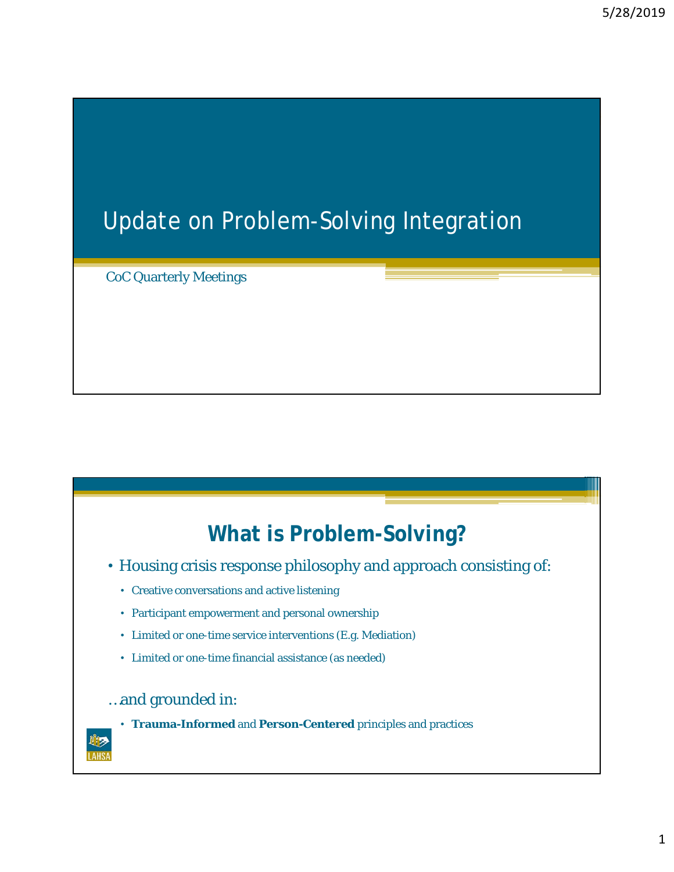## Update on Problem-Solving Integration

CoC Quarterly Meetings

## **What is Problem-Solving?**

- Housing crisis response philosophy and approach consisting of:
	- Creative conversations and active listening
	- Participant empowerment and personal ownership
	- Limited or one-time service interventions (E.g. Mediation)
	- Limited or one-time financial assistance (as needed)

## …and grounded in:



• **Trauma-Informed** and **Person-Centered** principles and practices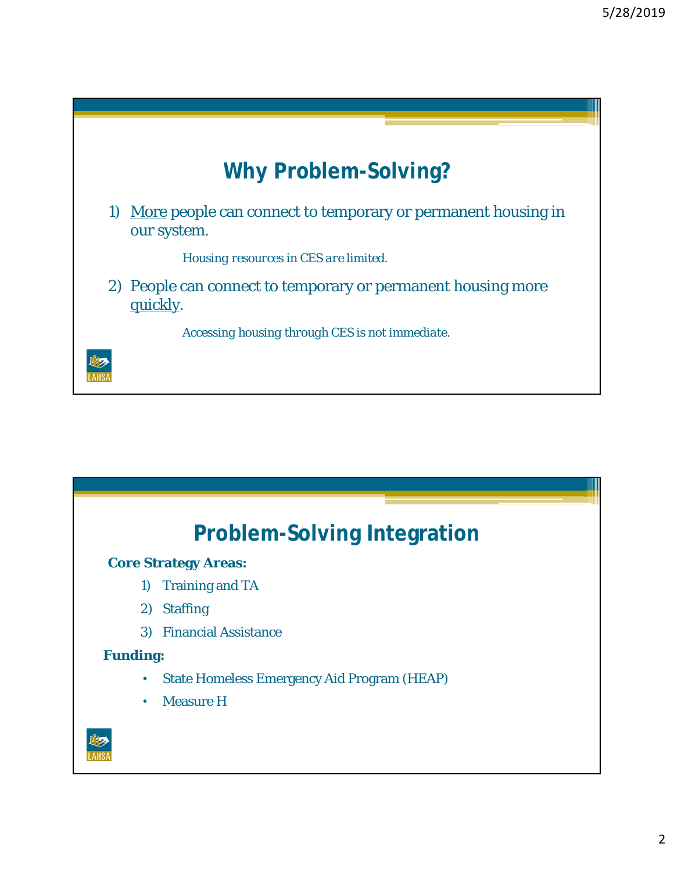

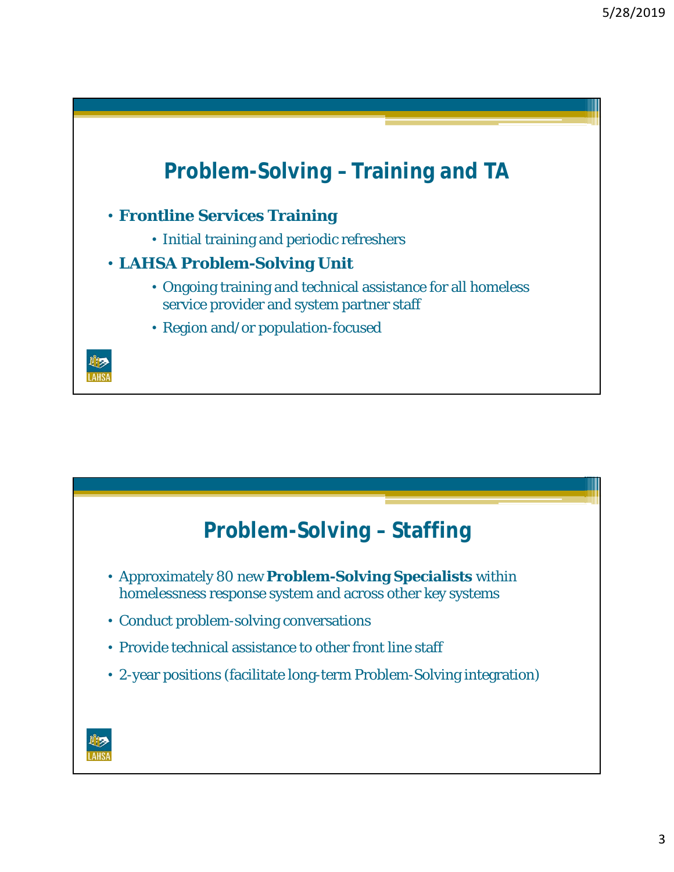

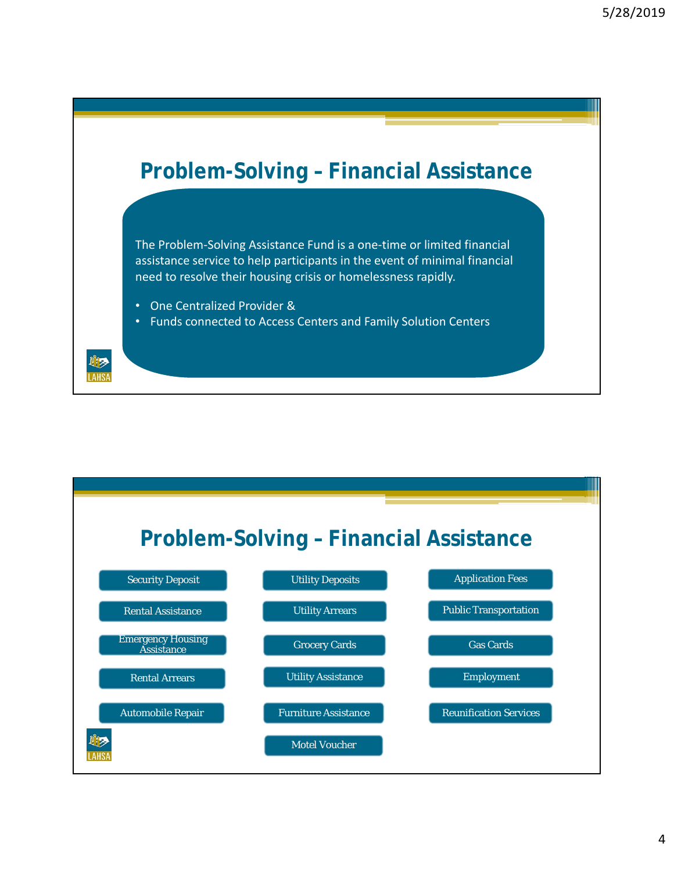

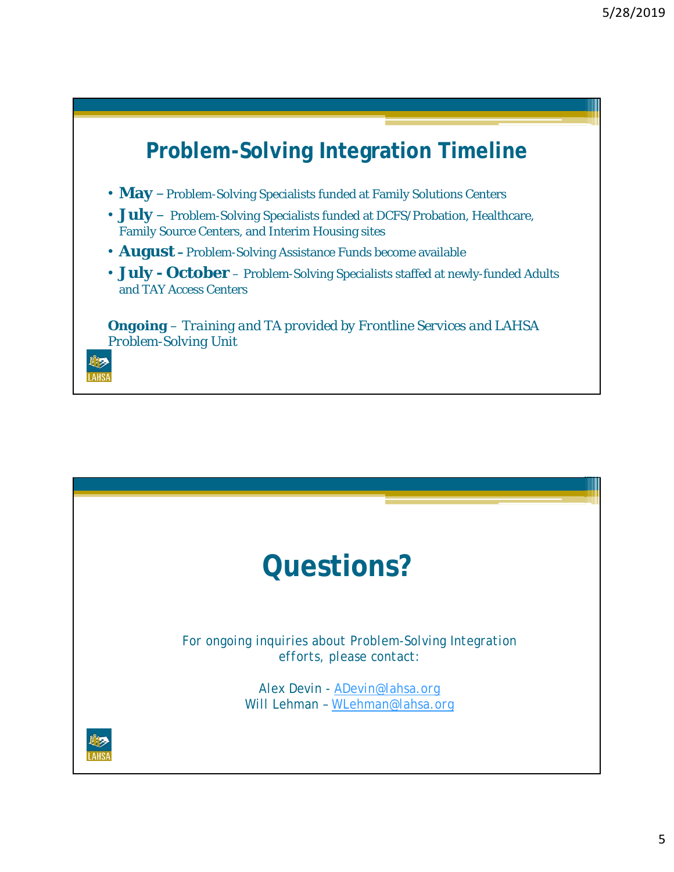

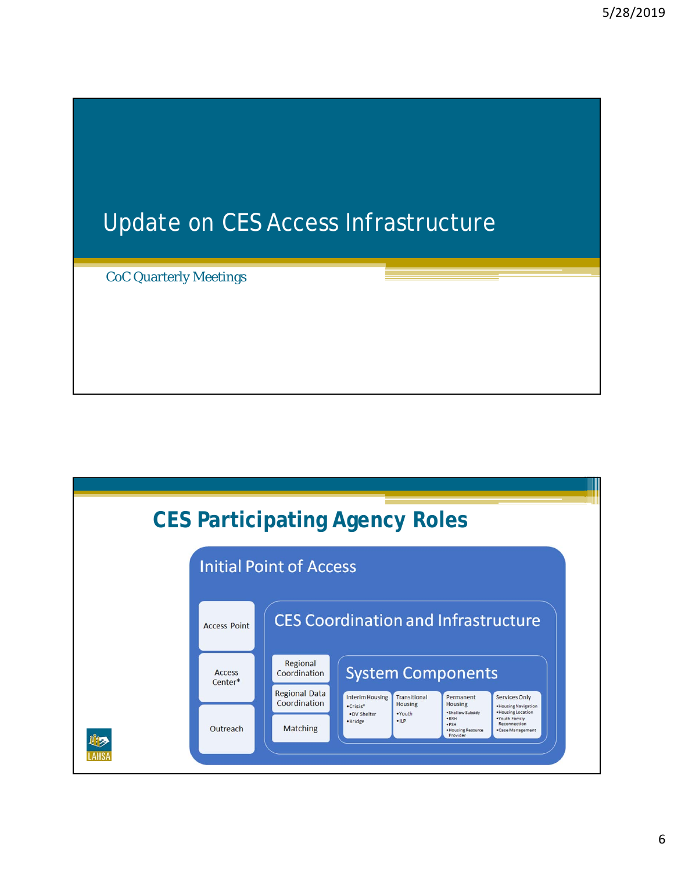## Update on CES Access Infrastructure

CoC Quarterly Meetings

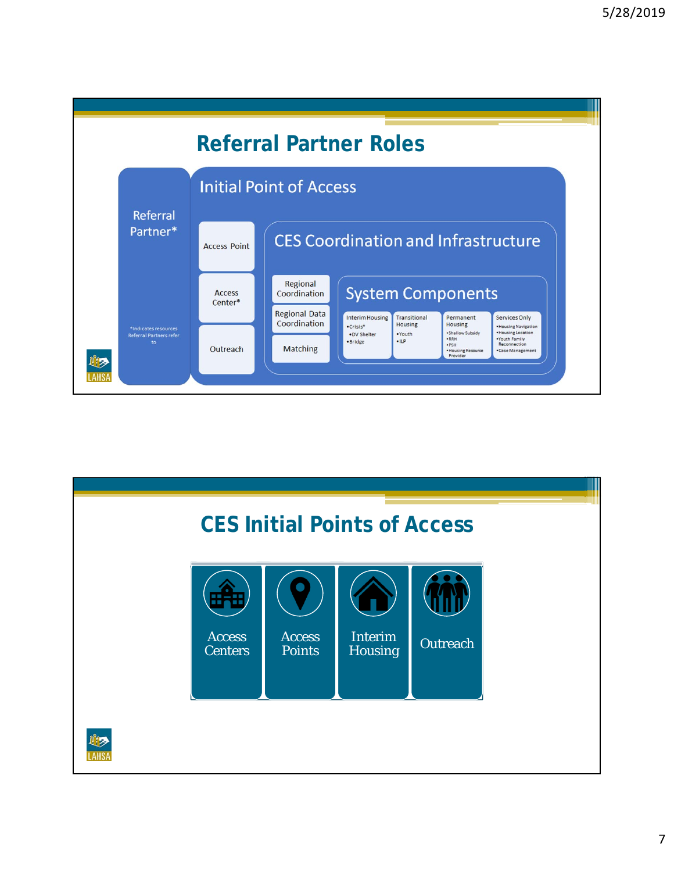

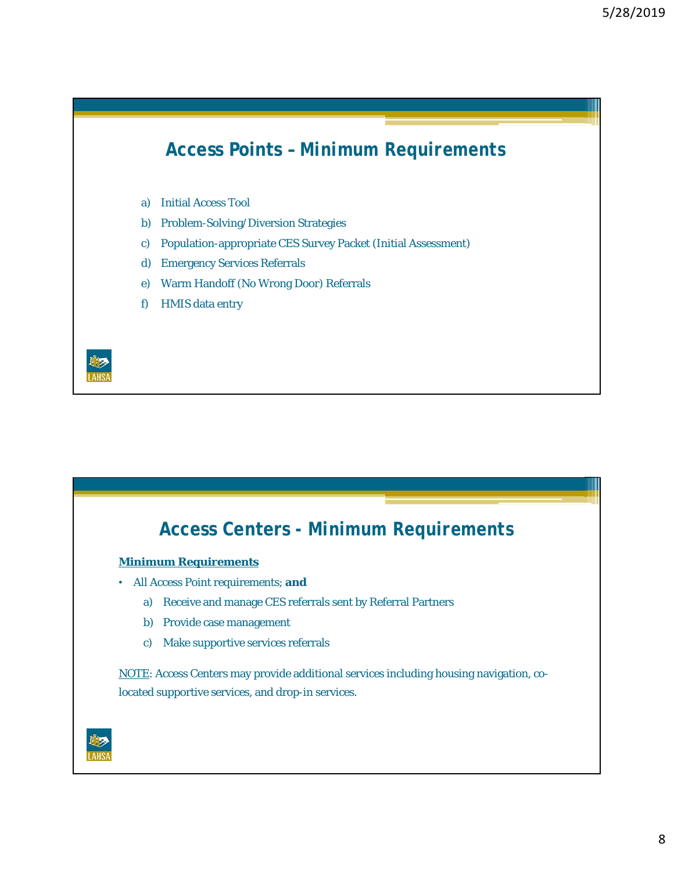